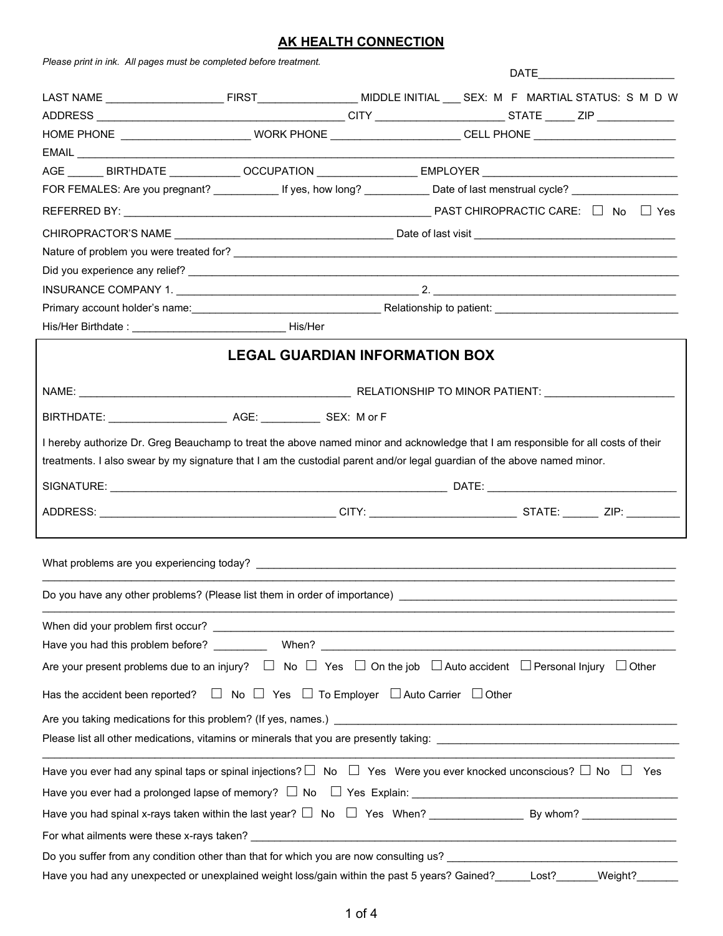## **AK HEALTH CONNECTION**

| Please print in ink. All pages must be completed before treatment.                                                                                                                                                                                           |                                       |  | DATE _______________________ |
|--------------------------------------------------------------------------------------------------------------------------------------------------------------------------------------------------------------------------------------------------------------|---------------------------------------|--|------------------------------|
|                                                                                                                                                                                                                                                              |                                       |  |                              |
|                                                                                                                                                                                                                                                              |                                       |  |                              |
|                                                                                                                                                                                                                                                              |                                       |  |                              |
|                                                                                                                                                                                                                                                              |                                       |  |                              |
| AGE _______ BIRTHDATE _____________ OCCUPATION _________________ EMPLOYER ___________________________________                                                                                                                                                |                                       |  |                              |
| FOR FEMALES: Are you pregnant? ______________ If yes, how long? _____________ Date of last menstrual cycle? ___________________________                                                                                                                      |                                       |  |                              |
|                                                                                                                                                                                                                                                              |                                       |  |                              |
|                                                                                                                                                                                                                                                              |                                       |  |                              |
|                                                                                                                                                                                                                                                              |                                       |  |                              |
|                                                                                                                                                                                                                                                              |                                       |  |                              |
|                                                                                                                                                                                                                                                              |                                       |  |                              |
|                                                                                                                                                                                                                                                              |                                       |  |                              |
|                                                                                                                                                                                                                                                              |                                       |  |                              |
|                                                                                                                                                                                                                                                              | <b>LEGAL GUARDIAN INFORMATION BOX</b> |  |                              |
|                                                                                                                                                                                                                                                              |                                       |  |                              |
|                                                                                                                                                                                                                                                              |                                       |  |                              |
| I hereby authorize Dr. Greg Beauchamp to treat the above named minor and acknowledge that I am responsible for all costs of their<br>treatments. I also swear by my signature that I am the custodial parent and/or legal guardian of the above named minor. |                                       |  |                              |
|                                                                                                                                                                                                                                                              |                                       |  |                              |
|                                                                                                                                                                                                                                                              |                                       |  |                              |
|                                                                                                                                                                                                                                                              |                                       |  |                              |
|                                                                                                                                                                                                                                                              |                                       |  |                              |
|                                                                                                                                                                                                                                                              |                                       |  |                              |
|                                                                                                                                                                                                                                                              |                                       |  |                              |
| Are your present problems due to an injury? $\Box$ No $\Box$ Yes $\Box$ On the job $\Box$ Auto accident $\Box$ Personal Injury $\Box$ Other                                                                                                                  |                                       |  |                              |
| Has the accident been reported? $\Box$ No $\Box$ Yes $\Box$ To Employer $\Box$ Auto Carrier $\Box$ Other                                                                                                                                                     |                                       |  |                              |
| Are you taking medications for this problem? (If yes, names.) example and the contract of the contract of the contract of the contract of the contract of the contract of the contract of the contract of the contract of the                                |                                       |  |                              |
|                                                                                                                                                                                                                                                              |                                       |  |                              |
| Have you ever had any spinal taps or spinal injections? $\Box$ No $\Box$ Yes Were you ever knocked unconscious? $\Box$ No $\Box$ Yes                                                                                                                         |                                       |  |                              |
|                                                                                                                                                                                                                                                              |                                       |  |                              |
|                                                                                                                                                                                                                                                              |                                       |  |                              |
|                                                                                                                                                                                                                                                              |                                       |  |                              |
|                                                                                                                                                                                                                                                              |                                       |  |                              |
|                                                                                                                                                                                                                                                              |                                       |  |                              |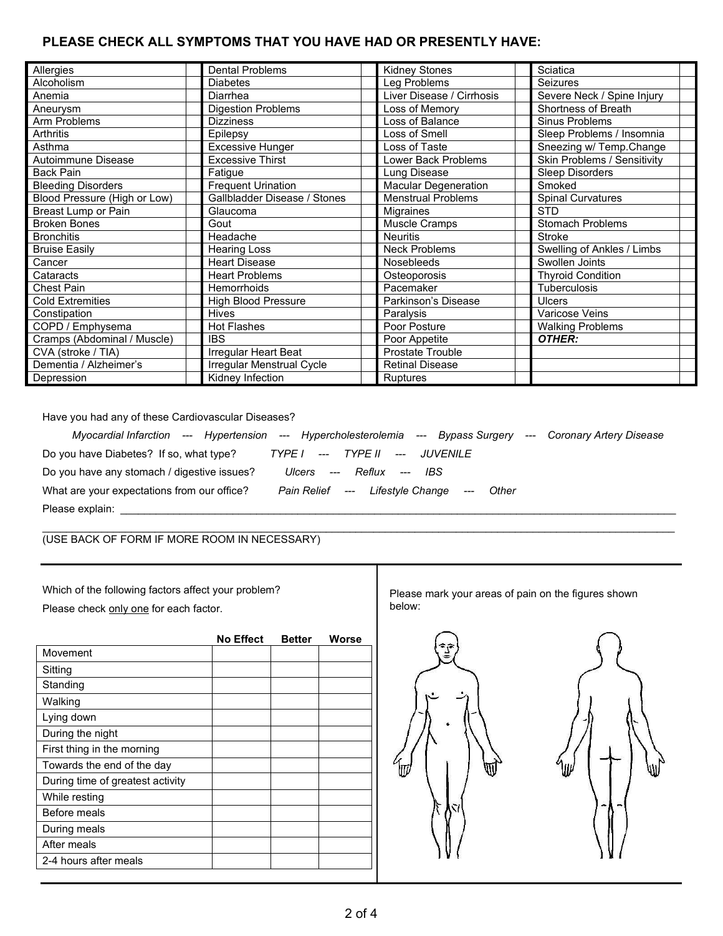## **PLEASE CHECK ALL SYMPTOMS THAT YOU HAVE HAD OR PRESENTLY HAVE:**

| Allergies                    | <b>Dental Problems</b>       | <b>Kidney Stones</b>        | Sciatica                    |
|------------------------------|------------------------------|-----------------------------|-----------------------------|
| Alcoholism                   | <b>Diabetes</b>              | Leg Problems                | <b>Seizures</b>             |
| Anemia                       | Diarrhea                     | Liver Disease / Cirrhosis   | Severe Neck / Spine Injury  |
| Aneurysm                     | <b>Digestion Problems</b>    | Loss of Memory              | Shortness of Breath         |
| Arm Problems                 | <b>Dizziness</b>             | Loss of Balance             | Sinus Problems              |
| Arthritis                    | Epilepsy                     | Loss of Smell               | Sleep Problems / Insomnia   |
| Asthma                       | <b>Excessive Hunger</b>      | Loss of Taste               | Sneezing w/ Temp.Change     |
| Autoimmune Disease           | <b>Excessive Thirst</b>      | Lower Back Problems         | Skin Problems / Sensitivity |
| <b>Back Pain</b>             | Fatigue                      | Lung Disease                | <b>Sleep Disorders</b>      |
| <b>Bleeding Disorders</b>    | <b>Frequent Urination</b>    | <b>Macular Degeneration</b> | Smoked                      |
| Blood Pressure (High or Low) | Gallbladder Disease / Stones | <b>Menstrual Problems</b>   | <b>Spinal Curvatures</b>    |
| Breast Lump or Pain          | Glaucoma                     | Migraines                   | <b>STD</b>                  |
| <b>Broken Bones</b>          | Gout                         | Muscle Cramps               | <b>Stomach Problems</b>     |
| <b>Bronchitis</b>            | Headache                     | <b>Neuritis</b>             | <b>Stroke</b>               |
| <b>Bruise Easily</b>         | <b>Hearing Loss</b>          | <b>Neck Problems</b>        | Swelling of Ankles / Limbs  |
| Cancer                       | <b>Heart Disease</b>         | <b>Nosebleeds</b>           | Swollen Joints              |
| Cataracts                    | <b>Heart Problems</b>        | Osteoporosis                | <b>Thyroid Condition</b>    |
| Chest Pain                   | <b>Hemorrhoids</b>           | Pacemaker                   | <b>Tuberculosis</b>         |
| <b>Cold Extremities</b>      | <b>High Blood Pressure</b>   | Parkinson's Disease         | <b>Ulcers</b>               |
| Constipation                 | <b>Hives</b>                 | Paralysis                   | Varicose Veins              |
| COPD / Emphysema             | <b>Hot Flashes</b>           | Poor Posture                | <b>Walking Problems</b>     |
| Cramps (Abdominal / Muscle)  | <b>IBS</b>                   | Poor Appetite               | OTHER:                      |
| CVA (stroke / TIA)           | Irregular Heart Beat         | <b>Prostate Trouble</b>     |                             |
| Dementia / Alzheimer's       | Irregular Menstrual Cycle    | <b>Retinal Disease</b>      |                             |
| Depression                   | Kidney Infection             | Ruptures                    |                             |

Have you had any of these Cardiovascular Diseases?

| Myocardial Infarction --- Hypertension --- Hypercholesterolemia --- Bypass Surgery |                                           |                | --- Coronary Artery Disease |
|------------------------------------------------------------------------------------|-------------------------------------------|----------------|-----------------------------|
| Do you have Diabetes? If so, what type?                                            | TYPE I   ---    TYPE II   ---    JUVENILE |                |                             |
| Do you have any stomach / digestive issues?                                        | Ulcers --- Reflux --- IBS                 |                |                             |
| What are your expectations from our office?                                        | Pain Relief --- Lifestvle Change          | Other<br>$---$ |                             |
| Please explain:                                                                    |                                           |                |                             |

 $\ldots$  . The contribution of the contribution of the contribution of the contribution of the contribution of the contribution of the contribution of the contribution of the contribution of the contribution of the contribut (USE BACK OF FORM IF MORE ROOM IN NECESSARY)

Which of the following factors affect your problem? Please check only one for each factor.

|                                  | <b>No Effect</b> | <b>Better</b> | <b>Worse</b> |
|----------------------------------|------------------|---------------|--------------|
| Movement                         |                  |               |              |
| Sitting                          |                  |               |              |
| Standing                         |                  |               |              |
| Walking                          |                  |               |              |
| Lying down                       |                  |               |              |
| During the night                 |                  |               |              |
| First thing in the morning       |                  |               |              |
| Towards the end of the day       |                  |               |              |
| During time of greatest activity |                  |               |              |
| While resting                    |                  |               |              |
| <b>Before meals</b>              |                  |               |              |
| During meals                     |                  |               |              |
| After meals                      |                  |               |              |
| 2-4 hours after meals            |                  |               |              |

Please mark your areas of pain on the figures shown below:

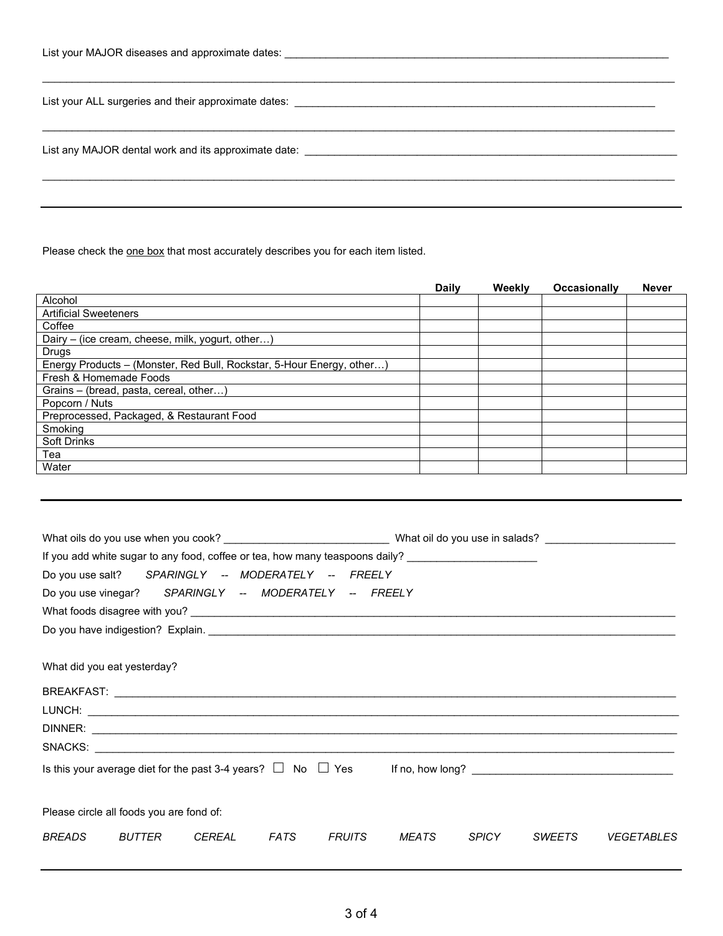| List vour MAJOR diseases and approximate dates: |  |
|-------------------------------------------------|--|
|                                                 |  |

| List any MAJOR dental work and its approximate date: ____________________________ |  |  |
|-----------------------------------------------------------------------------------|--|--|
|                                                                                   |  |  |

Please check the one box that most accurately describes you for each item listed.

|                                                                       | <b>Daily</b> | Weekly | <b>Occasionally</b> | <b>Never</b> |
|-----------------------------------------------------------------------|--------------|--------|---------------------|--------------|
| Alcohol                                                               |              |        |                     |              |
| <b>Artificial Sweeteners</b>                                          |              |        |                     |              |
| Coffee                                                                |              |        |                     |              |
| Dairy – (ice cream, cheese, milk, yogurt, other)                      |              |        |                     |              |
| <b>Drugs</b>                                                          |              |        |                     |              |
| Energy Products – (Monster, Red Bull, Rockstar, 5-Hour Energy, other) |              |        |                     |              |
| Fresh & Homemade Foods                                                |              |        |                     |              |
| Grains – (bread, pasta, cereal, other)                                |              |        |                     |              |
| Popcorn / Nuts                                                        |              |        |                     |              |
| Preprocessed, Packaged, & Restaurant Food                             |              |        |                     |              |
| Smoking                                                               |              |        |                     |              |
| <b>Soft Drinks</b>                                                    |              |        |                     |              |
| Tea                                                                   |              |        |                     |              |
| Water                                                                 |              |        |                     |              |

|                             |                                          |               | If you add white sugar to any food, coffee or tea, how many teaspoons daily? ______________________ |               |       |              |               |                   |
|-----------------------------|------------------------------------------|---------------|-----------------------------------------------------------------------------------------------------|---------------|-------|--------------|---------------|-------------------|
|                             |                                          |               | Do you use salt? SPARINGLY -- MODERATELY -- FREELY                                                  |               |       |              |               |                   |
|                             |                                          |               | Do you use vinegar?    SPARINGLY -- MODERATELY -- FREELY                                            |               |       |              |               |                   |
|                             |                                          |               |                                                                                                     |               |       |              |               |                   |
|                             |                                          |               |                                                                                                     |               |       |              |               |                   |
| What did you eat yesterday? |                                          |               |                                                                                                     |               |       |              |               |                   |
|                             |                                          |               |                                                                                                     |               |       |              |               |                   |
|                             |                                          |               |                                                                                                     |               |       |              |               |                   |
|                             |                                          |               |                                                                                                     |               |       |              |               |                   |
|                             |                                          |               |                                                                                                     |               |       |              |               |                   |
|                             |                                          |               | Is this your average diet for the past 3-4 years? $\Box$ No $\Box$ Yes If no, how long? $\Box$      |               |       |              |               |                   |
|                             | Please circle all foods you are fond of: |               |                                                                                                     |               |       |              |               |                   |
| <b>BREADS</b>               | BUTTER                                   | <b>CEREAL</b> | <b>FATS</b>                                                                                         | <b>FRUITS</b> | MEATS | <b>SPICY</b> | <b>SWEETS</b> | <b>VEGETABLES</b> |